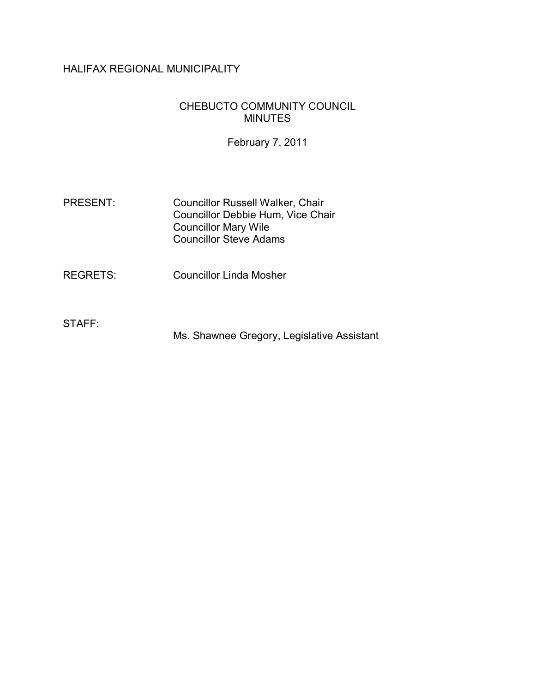# HALIFAX REGIONAL MUNICIPALITY

#### CHEBUCTO COMMUNITY COUNCIL MINUTES

February 7, 2011

PRESENT: Councillor Russell Walker, Chair Councillor Debbie Hum, Vice Chair Councillor Mary Wile Councillor Steve Adams

REGRETS: Councillor Linda Mosher

STAFF:

Ms. Shawnee Gregory, Legislative Assistant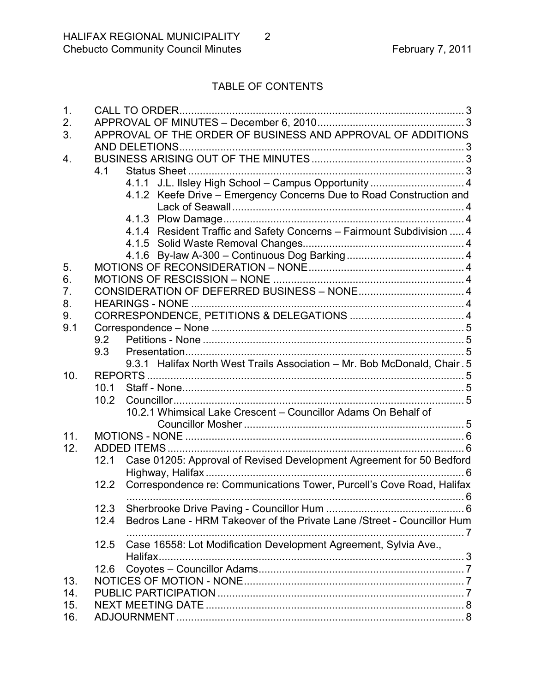# TABLE OF CONTENTS

| 1.  | CALL TO ORDER.                                                                  |
|-----|---------------------------------------------------------------------------------|
| 2.  |                                                                                 |
| 3.  | APPROVAL OF THE ORDER OF BUSINESS AND APPROVAL OF ADDITIONS                     |
|     |                                                                                 |
| 4.  |                                                                                 |
|     | 4.1                                                                             |
|     | 4.1.1 J.L. Ilsley High School - Campus Opportunity  4                           |
|     | 4.1.2 Keefe Drive - Emergency Concerns Due to Road Construction and             |
|     |                                                                                 |
|     |                                                                                 |
|     | 4.1.4 Resident Traffic and Safety Concerns - Fairmount Subdivision  4           |
|     |                                                                                 |
|     |                                                                                 |
| 5.  |                                                                                 |
| 6.  |                                                                                 |
| 7.  |                                                                                 |
| 8.  |                                                                                 |
| 9.  |                                                                                 |
| 9.1 |                                                                                 |
|     | 9.2                                                                             |
|     | 9.3                                                                             |
|     | 9.3.1 Halifax North West Trails Association - Mr. Bob McDonald, Chair. 5        |
| 10. |                                                                                 |
|     | 10.1                                                                            |
|     | 10.2                                                                            |
|     | 10.2.1 Whimsical Lake Crescent - Councillor Adams On Behalf of                  |
|     |                                                                                 |
| 11. |                                                                                 |
| 12. |                                                                                 |
|     | Case 01205: Approval of Revised Development Agreement for 50 Bedford<br>12.1    |
|     | . 6                                                                             |
|     | Correspondence re: Communications Tower, Purcell's Cove Road, Halifax<br>12.2   |
|     | 12.3                                                                            |
|     | Bedros Lane - HRM Takeover of the Private Lane /Street - Councillor Hum<br>12.4 |
|     |                                                                                 |
|     | Case 16558: Lot Modification Development Agreement, Sylvia Ave.,<br>12.5        |
|     | Halifax                                                                         |
| 13. | 12.6                                                                            |
|     |                                                                                 |
| 14. |                                                                                 |
| 15. |                                                                                 |
| 16. |                                                                                 |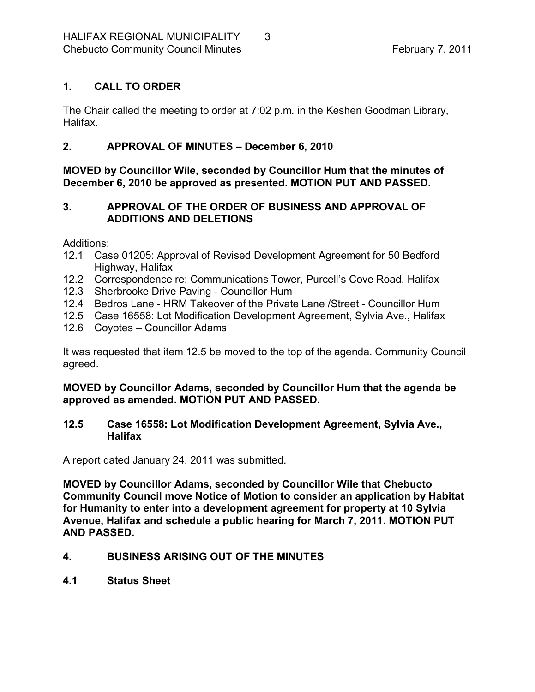## <span id="page-2-0"></span>**1. CALL TO ORDER**

The Chair called the meeting to order at 7:02 p.m. in the Keshen Goodman Library, Halifax.

#### <span id="page-2-1"></span>**2. APPROVAL OF MINUTES – December 6, 2010**

**MOVED by Councillor Wile, seconded by Councillor Hum that the minutes of December 6, 2010 be approved as presented. MOTION PUT AND PASSED.** 

### <span id="page-2-2"></span>**3. APPROVAL OF THE ORDER OF BUSINESS AND APPROVAL OF ADDITIONS AND DELETIONS**

Additions:

- 12.1 Case 01205: Approval of Revised Development Agreement for 50 Bedford Highway, Halifax
- 12.2 Correspondence re: Communications Tower, Purcell's Cove Road, Halifax
- 12.3 Sherbrooke Drive Paving Councillor Hum
- 12.4 Bedros Lane HRM Takeover of the Private Lane / Street Councillor Hum
- 12.5 Case 16558: Lot Modification Development Agreement, Sylvia Ave., Halifax
- 12.6 Coyotes Councillor Adams

It was requested that item 12.5 be moved to the top of the agenda. Community Council agreed.

#### **MOVED by Councillor Adams, seconded by Councillor Hum that the agenda be approved as amended. MOTION PUT AND PASSED.**

#### **12.5 Case 16558: Lot Modification Development Agreement, Sylvia Ave., Halifax**

A report dated January 24, 2011 was submitted.

**MOVED by Councillor Adams, seconded by Councillor Wile that Chebucto Community Council move Notice of Motion to consider an application by Habitat for Humanity to enter into a development agreement for property at 10 Sylvia Avenue, Halifax and schedule a public hearing for March 7, 2011. MOTION PUT AND PASSED.** 

## <span id="page-2-3"></span>**4. BUSINESS ARISING OUT OF THE MINUTES**

<span id="page-2-4"></span>**4.1 Status Sheet**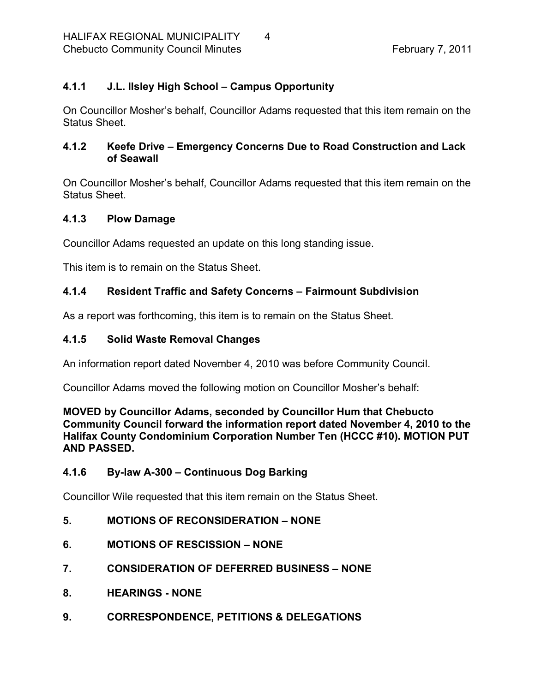## <span id="page-3-0"></span>**4.1.1 J.L. Ilsley High School – Campus Opportunity**

On Councillor Mosher's behalf, Councillor Adams requested that this item remain on the Status Sheet.

## <span id="page-3-1"></span>**4.1.2 Keefe Drive – Emergency Concerns Due to Road Construction and Lack of Seawall**

On Councillor Mosher's behalf, Councillor Adams requested that this item remain on the Status Sheet.

## <span id="page-3-2"></span>**4.1.3 Plow Damage**

Councillor Adams requested an update on this long standing issue.

This item is to remain on the Status Sheet.

## <span id="page-3-3"></span>**4.1.4 Resident Traffic and Safety Concerns – Fairmount Subdivision**

As a report was forthcoming, this item is to remain on the Status Sheet.

#### <span id="page-3-4"></span>**4.1.5 Solid Waste Removal Changes**

An information report dated November 4, 2010 was before Community Council.

Councillor Adams moved the following motion on Councillor Mosher's behalf:

**MOVED by Councillor Adams, seconded by Councillor Hum that Chebucto Community Council forward the information report dated November 4, 2010 to the Halifax County Condominium Corporation Number Ten (HCCC #10). MOTION PUT AND PASSED.** 

## <span id="page-3-5"></span>**4.1.6 Bylaw A300 – Continuous Dog Barking**

Councillor Wile requested that this item remain on the Status Sheet.

- <span id="page-3-6"></span>**5. MOTIONS OF RECONSIDERATION – NONE**
- <span id="page-3-7"></span>**6. MOTIONS OF RESCISSION – NONE**
- <span id="page-3-8"></span>**7. CONSIDERATION OF DEFERRED BUSINESS – NONE**
- <span id="page-3-9"></span>**8. HEARINGS NONE**
- <span id="page-3-10"></span>**9. CORRESPONDENCE, PETITIONS & DELEGATIONS**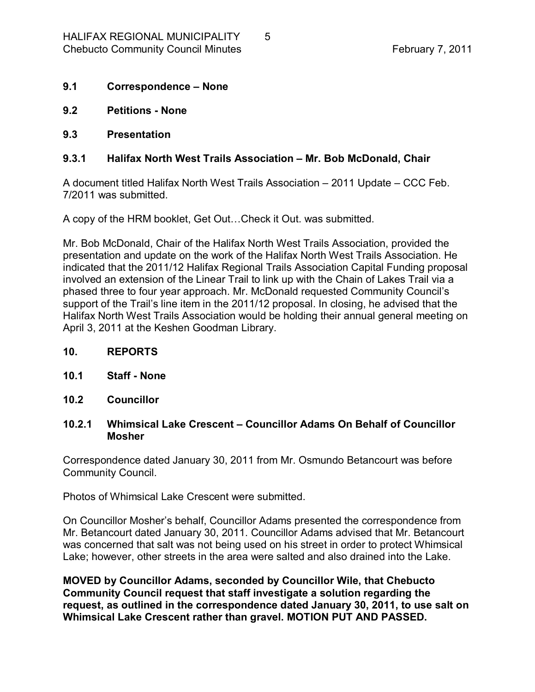- <span id="page-4-0"></span>**9.1 Correspondence – None**
- <span id="page-4-1"></span>**9.2 Petitions None**
- <span id="page-4-2"></span>**9.3 Presentation**

#### <span id="page-4-3"></span>**9.3.1 Halifax North West Trails Association – Mr. Bob McDonald, Chair**

A document titled Halifax North West Trails Association – 2011 Update – CCC Feb. 7/2011 was submitted.

A copy of the HRM booklet, Get Out…Check it Out. was submitted.

Mr. Bob McDonald, Chair of the Halifax North West Trails Association, provided the presentation and update on the work of the Halifax North West Trails Association. He indicated that the 2011/12 Halifax Regional Trails Association Capital Funding proposal involved an extension of the Linear Trail to link up with the Chain of Lakes Trail via a phased three to four year approach. Mr. McDonald requested Community Council's support of the Trail's line item in the 2011/12 proposal. In closing, he advised that the Halifax North West Trails Association would be holding their annual general meeting on April 3, 2011 at the Keshen Goodman Library.

- <span id="page-4-4"></span>**10. REPORTS**
- <span id="page-4-5"></span>**10.1 Staff None**
- <span id="page-4-6"></span>**10.2 Councillor**

#### <span id="page-4-7"></span>**10.2.1 Whimsical Lake Crescent – Councillor Adams On Behalf of Councillor Mosher**

Correspondence dated January 30, 2011 from Mr. Osmundo Betancourt was before Community Council.

Photos of Whimsical Lake Crescent were submitted.

On Councillor Mosher's behalf, Councillor Adams presented the correspondence from Mr. Betancourt dated January 30, 2011. Councillor Adams advised that Mr. Betancourt was concerned that salt was not being used on his street in order to protect Whimsical Lake; however, other streets in the area were salted and also drained into the Lake.

**MOVED by Councillor Adams, seconded by Councillor Wile, that Chebucto Community Council request that staff investigate a solution regarding the request, as outlined in the correspondence dated January 30, 2011, to use salt on Whimsical Lake Crescent rather than gravel. MOTION PUT AND PASSED.**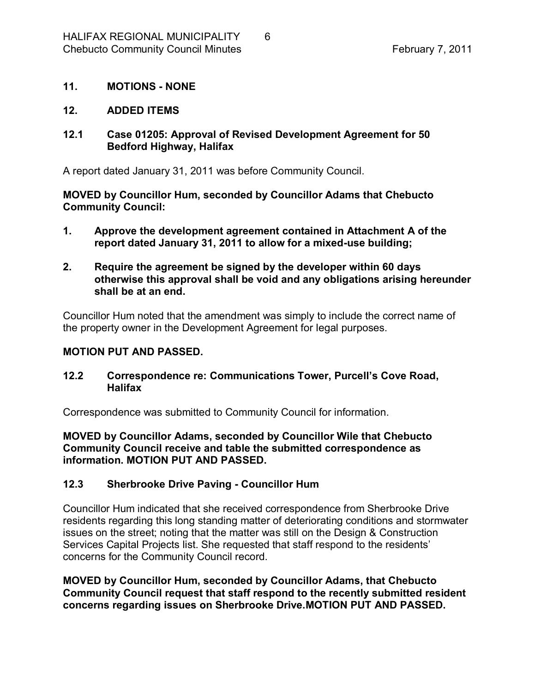#### <span id="page-5-0"></span>**11. MOTIONS NONE**

#### <span id="page-5-1"></span>**12. ADDED ITEMS**

#### <span id="page-5-2"></span>**12.1 Case 01205: Approval of Revised Development Agreement for 50 Bedford Highway, Halifax**

A report dated January 31, 2011 was before Community Council.

**MOVED by Councillor Hum, seconded by Councillor Adams that Chebucto Community Council:**

- **1. Approve the development agreement contained in Attachment A of the report dated January 31, 2011 to allow for a mixed-use building;**
- **2. Require the agreement be signed by the developer within 60 days otherwise this approval shall be void and any obligations arising hereunder shall be at an end.**

Councillor Hum noted that the amendment was simply to include the correct name of the property owner in the Development Agreement for legal purposes.

#### **MOTION PUT AND PASSED.**

#### <span id="page-5-3"></span>**12.2 Correspondence re: Communications Tower, Purcell's Cove Road, Halifax**

Correspondence was submitted to Community Council for information.

**MOVED by Councillor Adams, seconded by Councillor Wile that Chebucto Community Council receive and table the submitted correspondence as information. MOTION PUT AND PASSED.** 

#### <span id="page-5-4"></span>**12.3 Sherbrooke Drive Paving Councillor Hum**

Councillor Hum indicated that she received correspondence from Sherbrooke Drive residents regarding this long standing matter of deteriorating conditions and stormwater issues on the street; noting that the matter was still on the Design & Construction Services Capital Projects list. She requested that staff respond to the residents' concerns for the Community Council record.

**MOVED by Councillor Hum, seconded by Councillor Adams, that Chebucto Community Council request that staff respond to the recently submitted resident concerns regarding issues on Sherbrooke Drive.MOTION PUT AND PASSED.**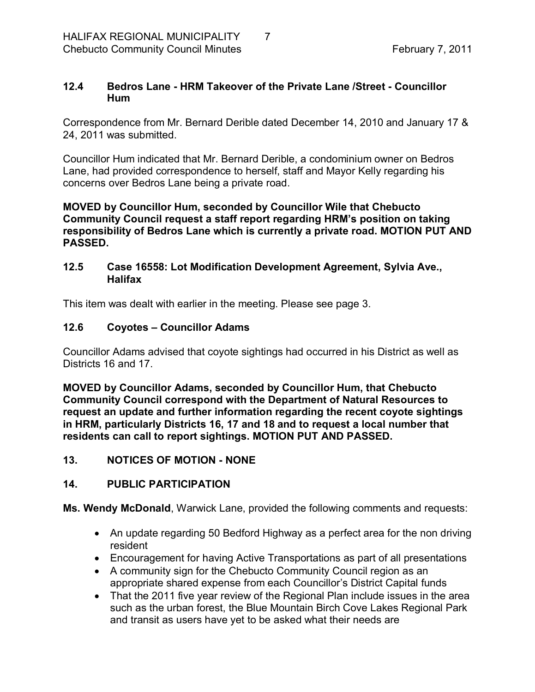#### <span id="page-6-0"></span>**12.4 Bedros Lane HRM Takeover of the Private Lane /Street Councillor Hum**

Correspondence from Mr. Bernard Derible dated December 14, 2010 and January 17 & 24, 2011 was submitted.

Councillor Hum indicated that Mr. Bernard Derible, a condominium owner on Bedros Lane, had provided correspondence to herself, staff and Mayor Kelly regarding his concerns over Bedros Lane being a private road.

**MOVED by Councillor Hum, seconded by Councillor Wile that Chebucto Community Council request a staff report regarding HRM's position on taking responsibility of Bedros Lane which is currently a private road. MOTION PUT AND PASSED.** 

#### <span id="page-6-1"></span>**12.5 Case 16558: Lot Modification Development Agreement, Sylvia Ave., Halifax**

This item was dealt with earlier in the meeting. Please see page 3.

#### <span id="page-6-2"></span>**12.6 Coyotes – Councillor Adams**

Councillor Adams advised that coyote sightings had occurred in his District as well as Districts 16 and 17.

**MOVED by Councillor Adams, seconded by Councillor Hum, that Chebucto Community Council correspond with the Department of Natural Resources to request an update and further information regarding the recent coyote sightings in HRM, particularly Districts 16, 17 and 18 and to request a local number that residents can call to report sightings. MOTION PUT AND PASSED.** 

<span id="page-6-3"></span>**13. NOTICES OF MOTION NONE**

#### <span id="page-6-4"></span>**14. PUBLIC PARTICIPATION**

**Ms. Wendy McDonald**, Warwick Lane, provided the following comments and requests:

- · An update regarding 50 Bedford Highway as a perfect area for the non driving resident
- · Encouragement for having Active Transportations as part of all presentations
- · A community sign for the Chebucto Community Council region as an appropriate shared expense from each Councillor's District Capital funds
- That the 2011 five year review of the Regional Plan include issues in the area such as the urban forest, the Blue Mountain Birch Cove Lakes Regional Park and transit as users have yet to be asked what their needs are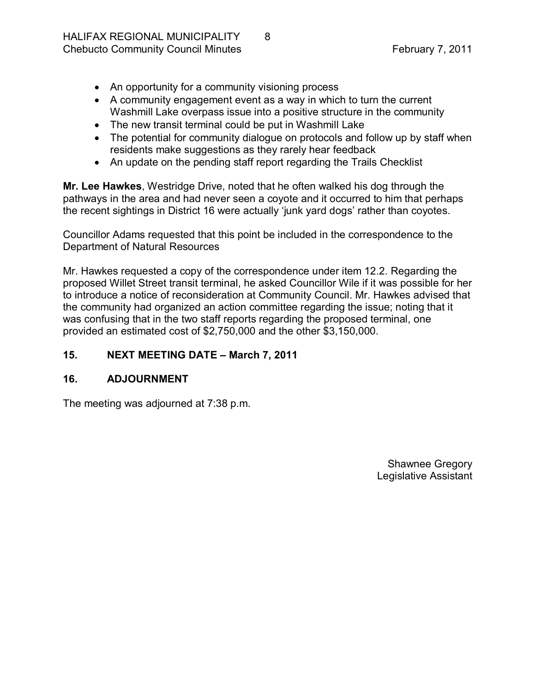- An opportunity for a community visioning process
- · A community engagement event as a way in which to turn the current Washmill Lake overpass issue into a positive structure in the community
- · The new transit terminal could be put in Washmill Lake
- The potential for community dialogue on protocols and follow up by staff when residents make suggestions as they rarely hear feedback
- An update on the pending staff report regarding the Trails Checklist

**Mr. Lee Hawkes**, Westridge Drive, noted that he often walked his dog through the pathways in the area and had never seen a coyote and it occurred to him that perhaps the recent sightings in District 16 were actually 'junk yard dogs' rather than coyotes.

Councillor Adams requested that this point be included in the correspondence to the Department of Natural Resources

Mr. Hawkes requested a copy of the correspondence under item 12.2. Regarding the proposed Willet Street transit terminal, he asked Councillor Wile if it was possible for her to introduce a notice of reconsideration at Community Council. Mr. Hawkes advised that the community had organized an action committee regarding the issue; noting that it was confusing that in the two staff reports regarding the proposed terminal, one provided an estimated cost of \$2,750,000 and the other \$3,150,000.

## <span id="page-7-0"></span>**15. NEXT MEETING DATE – March 7, 2011**

#### <span id="page-7-1"></span>**16. ADJOURNMENT**

The meeting was adjourned at 7:38 p.m.

Shawnee Gregory Legislative Assistant